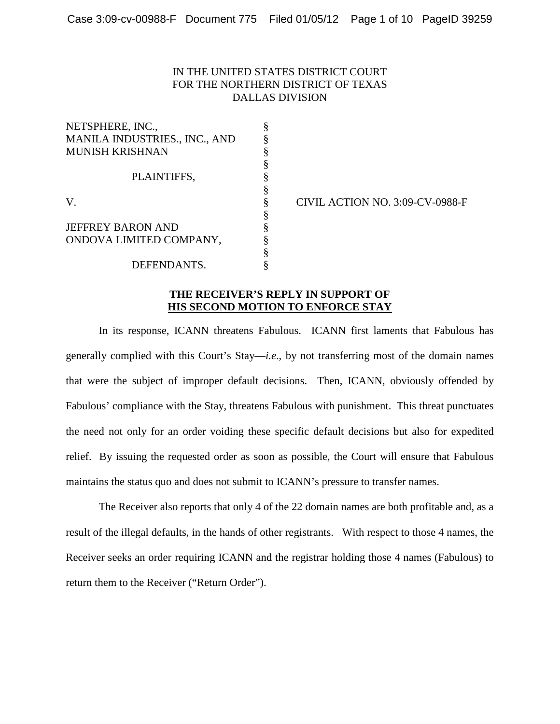## IN THE UNITED STATES DISTRICT COURT FOR THE NORTHERN DISTRICT OF TEXAS DALLAS DIVISION

| NETSPHERE, INC.,              |   |
|-------------------------------|---|
| MANILA INDUSTRIES., INC., AND |   |
| <b>MUNISH KRISHNAN</b>        |   |
|                               |   |
| PLAINTIFFS,                   |   |
|                               |   |
| V.                            | § |
|                               | § |
| <b>JEFFREY BARON AND</b>      | ş |
| ONDOVA LIMITED COMPANY,       |   |
|                               |   |
| DEFENDANTS.                   |   |

CIVIL ACTION NO. 3:09-CV-0988-F

## **THE RECEIVER'S REPLY IN SUPPORT OF HIS SECOND MOTION TO ENFORCE STAY**

In its response, ICANN threatens Fabulous. ICANN first laments that Fabulous has generally complied with this Court's Stay—*i.e*., by not transferring most of the domain names that were the subject of improper default decisions. Then, ICANN, obviously offended by Fabulous' compliance with the Stay, threatens Fabulous with punishment. This threat punctuates the need not only for an order voiding these specific default decisions but also for expedited relief. By issuing the requested order as soon as possible, the Court will ensure that Fabulous maintains the status quo and does not submit to ICANN's pressure to transfer names.

 The Receiver also reports that only 4 of the 22 domain names are both profitable and, as a result of the illegal defaults, in the hands of other registrants. With respect to those 4 names, the Receiver seeks an order requiring ICANN and the registrar holding those 4 names (Fabulous) to return them to the Receiver ("Return Order").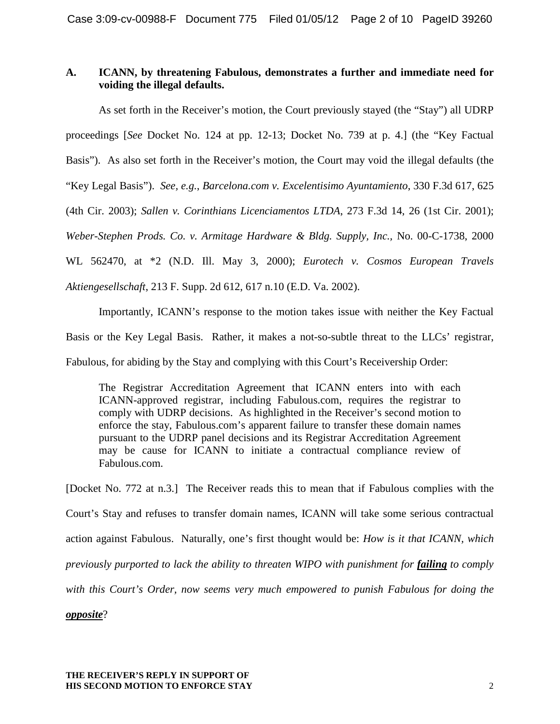## **A. ICANN, by threatening Fabulous, demonstrates a further and immediate need for voiding the illegal defaults.**

As set forth in the Receiver's motion, the Court previously stayed (the "Stay") all UDRP proceedings [*See* Docket No. 124 at pp. 12-13; Docket No. 739 at p. 4.] (the "Key Factual Basis"). As also set forth in the Receiver's motion, the Court may void the illegal defaults (the "Key Legal Basis"). *See, e.g.*, *Barcelona.com v. Excelentisimo Ayuntamiento*, 330 F.3d 617, 625 (4th Cir. 2003); *Sallen v. Corinthians Licenciamentos LTDA*, 273 F.3d 14, 26 (1st Cir. 2001); *Weber-Stephen Prods. Co. v. Armitage Hardware & Bldg. Supply, Inc.,* No. 00-C-1738, 2000 WL 562470, at \*2 (N.D. Ill. May 3, 2000); *Eurotech v. Cosmos European Travels Aktiengesellschaft*, 213 F. Supp. 2d 612, 617 n.10 (E.D. Va. 2002).

Importantly, ICANN's response to the motion takes issue with neither the Key Factual Basis or the Key Legal Basis. Rather, it makes a not-so-subtle threat to the LLCs' registrar, Fabulous, for abiding by the Stay and complying with this Court's Receivership Order:

The Registrar Accreditation Agreement that ICANN enters into with each ICANN-approved registrar, including Fabulous.com, requires the registrar to comply with UDRP decisions. As highlighted in the Receiver's second motion to enforce the stay, Fabulous.com's apparent failure to transfer these domain names pursuant to the UDRP panel decisions and its Registrar Accreditation Agreement may be cause for ICANN to initiate a contractual compliance review of Fabulous.com.

[Docket No. 772 at n.3.] The Receiver reads this to mean that if Fabulous complies with the Court's Stay and refuses to transfer domain names, ICANN will take some serious contractual action against Fabulous. Naturally, one's first thought would be: *How is it that ICANN, which previously purported to lack the ability to threaten WIPO with punishment for failing to comply with this Court's Order, now seems very much empowered to punish Fabulous for doing the* 

### *opposite*?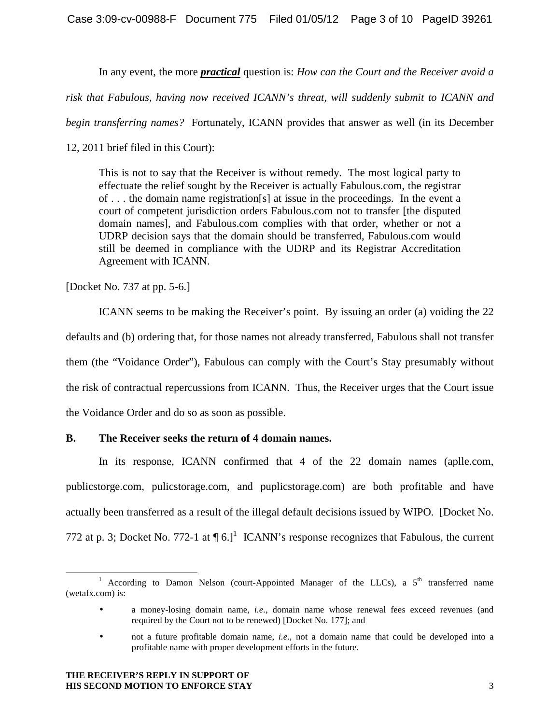In any event, the more *practical* question is: *How can the Court and the Receiver avoid a* 

*risk that Fabulous, having now received ICANN's threat, will suddenly submit to ICANN and* 

*begin transferring names?* Fortunately, ICANN provides that answer as well (in its December

12, 2011 brief filed in this Court):

This is not to say that the Receiver is without remedy. The most logical party to effectuate the relief sought by the Receiver is actually Fabulous.com, the registrar of . . . the domain name registration[s] at issue in the proceedings. In the event a court of competent jurisdiction orders Fabulous.com not to transfer [the disputed domain names], and Fabulous.com complies with that order, whether or not a UDRP decision says that the domain should be transferred, Fabulous.com would still be deemed in compliance with the UDRP and its Registrar Accreditation Agreement with ICANN.

[Docket No. 737 at pp. 5-6.]

 ICANN seems to be making the Receiver's point. By issuing an order (a) voiding the 22 defaults and (b) ordering that, for those names not already transferred, Fabulous shall not transfer them (the "Voidance Order"), Fabulous can comply with the Court's Stay presumably without the risk of contractual repercussions from ICANN. Thus, the Receiver urges that the Court issue the Voidance Order and do so as soon as possible.

## **B. The Receiver seeks the return of 4 domain names.**

In its response, ICANN confirmed that 4 of the 22 domain names (aplle.com, publicstorge.com, pulicstorage.com, and puplicstorage.com) are both profitable and have actually been transferred as a result of the illegal default decisions issued by WIPO. [Docket No. 772 at p. 3; Docket No. 772-1 at  $\P 6$ .]<sup>1</sup> ICANN's response recognizes that Fabulous, the current

 $\overline{a}$ <sup>1</sup> According to Damon Nelson (court-Appointed Manager of the LLCs), a  $5<sup>th</sup>$  transferred name (wetafx.com) is:

<sup>•</sup> a money-losing domain name, *i.e*., domain name whose renewal fees exceed revenues (and required by the Court not to be renewed) [Docket No. 177]; and

<sup>•</sup> not a future profitable domain name, *i.e*., not a domain name that could be developed into a profitable name with proper development efforts in the future.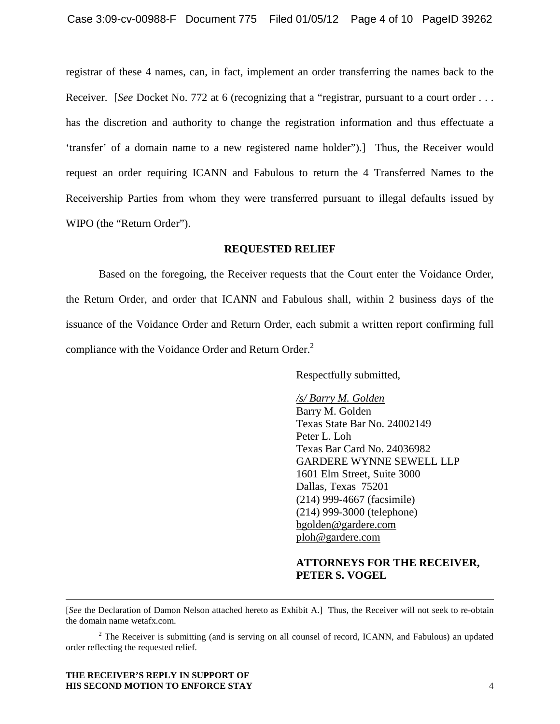registrar of these 4 names, can, in fact, implement an order transferring the names back to the Receiver. [*See* Docket No. 772 at 6 (recognizing that a "registrar, pursuant to a court order . . . has the discretion and authority to change the registration information and thus effectuate a 'transfer' of a domain name to a new registered name holder").] Thus, the Receiver would request an order requiring ICANN and Fabulous to return the 4 Transferred Names to the Receivership Parties from whom they were transferred pursuant to illegal defaults issued by WIPO (the "Return Order").

## **REQUESTED RELIEF**

Based on the foregoing, the Receiver requests that the Court enter the Voidance Order, the Return Order, and order that ICANN and Fabulous shall, within 2 business days of the issuance of the Voidance Order and Return Order, each submit a written report confirming full compliance with the Voidance Order and Return Order.<sup>2</sup>

Respectfully submitted,

#### */s/ Barry M. Golden*

Barry M. Golden Texas State Bar No. 24002149 Peter L. Loh Texas Bar Card No. 24036982 GARDERE WYNNE SEWELL LLP 1601 Elm Street, Suite 3000 Dallas, Texas 75201 (214) 999-4667 (facsimile) (214) 999-3000 (telephone) bgolden@gardere.com ploh@gardere.com

## **ATTORNEYS FOR THE RECEIVER, PETER S. VOGEL**

[*See* the Declaration of Damon Nelson attached hereto as Exhibit A.] Thus, the Receiver will not seek to re-obtain the domain name wetafx.com.

 $2^2$  The Receiver is submitting (and is serving on all counsel of record, ICANN, and Fabulous) an updated order reflecting the requested relief.

#### **THE RECEIVER'S REPLY IN SUPPORT OF HIS SECOND MOTION TO ENFORCE STAY** 4

<u>.</u>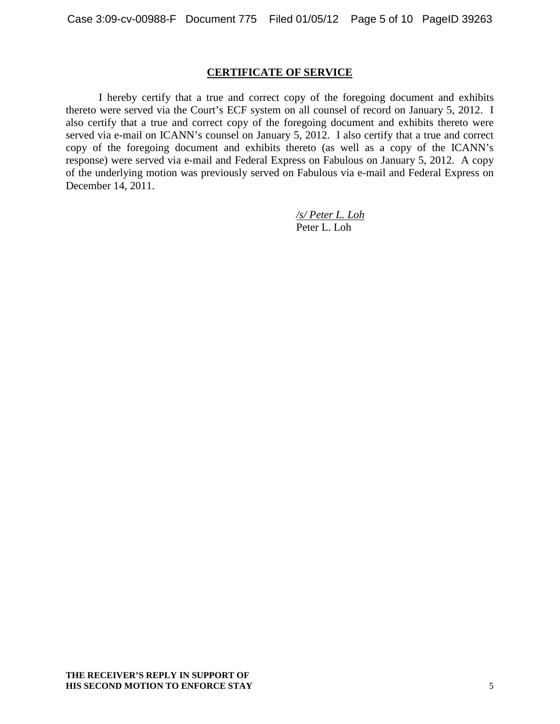## **CERTIFICATE OF SERVICE**

I hereby certify that a true and correct copy of the foregoing document and exhibits thereto were served via the Court's ECF system on all counsel of record on January 5, 2012. I also certify that a true and correct copy of the foregoing document and exhibits thereto were served via e-mail on ICANN's counsel on January 5, 2012. I also certify that a true and correct copy of the foregoing document and exhibits thereto (as well as a copy of the ICANN's response) were served via e-mail and Federal Express on Fabulous on January 5, 2012. A copy of the underlying motion was previously served on Fabulous via e-mail and Federal Express on December 14, 2011.

> */s/ Peter L. Loh* Peter L. Loh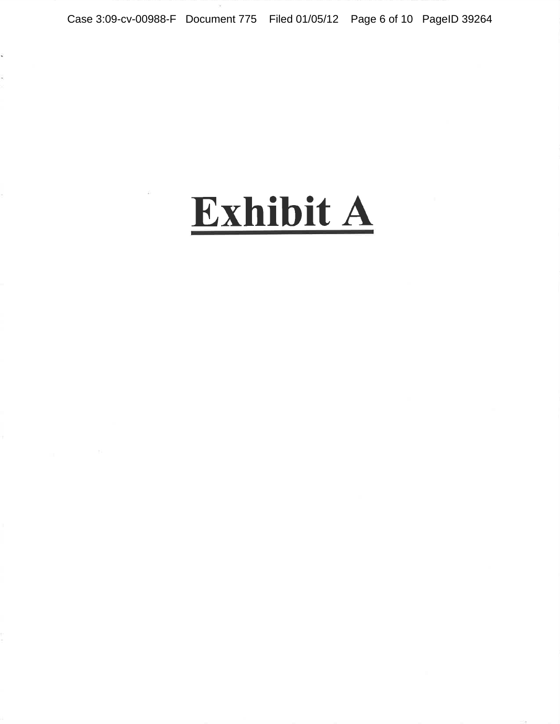# Exhibit A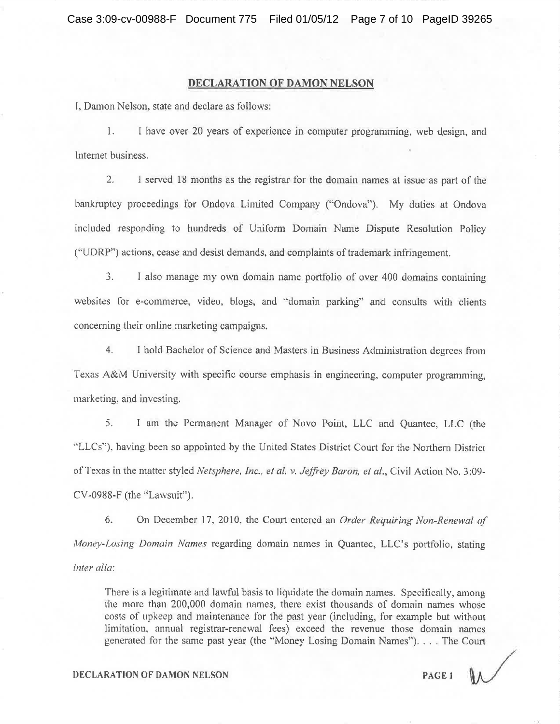#### DECLARATION OF DAMON NELSON

I, Damon Nelson, state and declare as follows:

 $\mathbb{1}$ . I have over 20 years of experience in computer programming, web design, and Internet business.

 $2.$ I served 18 months as the registrar for the domain names at issue as part of the bankruptcy proceedings for Ondova Limited Company ("Ondova"). My duties at Ondova included responding to hundreds of Uniform Domain Name Dispute Resolution Policy ("UDRP") actions, cease and desist demands, and complaints of trademark infringement.

I also manage my own domain name portfolio of over 400 domains containing  $3.$ websites for e-commerce, video, blogs, and "domain parking" and consults with clients concerning their online marketing campaigns.

 $4.$ I hold Bachelor of Science and Masters in Business Administration degrees from Texas A&M University with specific course emphasis in engineering, computer programming. marketing, and investing.

 $5.$ I am the Permanent Manager of Novo Point, LLC and Quantec, LLC (the "LLCs"), having been so appointed by the United States District Court for the Northern District of Texas in the matter styled Netsphere, Inc., et al. v. Jeffrey Baron, et al., Civil Action No. 3:09-CV-0988-F (the "Lawsuit").

6. On December 17, 2010, the Court entered an *Order Requiring Non-Renewal of* Money-Losing Domain Names regarding domain names in Quantec, LLC's portfolio, stating inter alia:

There is a legitimate and lawful basis to liquidate the domain names. Specifically, among the more than 200,000 domain names, there exist thousands of domain names whose costs of upkeep and maintenance for the past year (including, for example but without limitation, annual registrar-renewal fees) exceed the revenue those domain names generated for the same past year (the "Money Losing Domain Names"). . . . The Court

#### **DECLARATION OF DAMON NELSON**

PAGE 1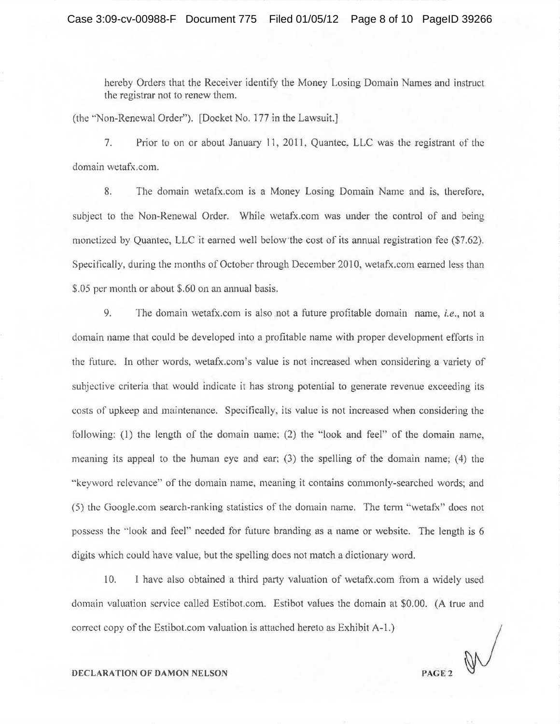hereby Orders that the Receiver identify the Money Losing Domain Names and instruct the registrar not to renew them.

(the "Non-Renewal Order"). [Docket No. 177 in the Lawsuit.]

 $7.$ Prior to on or about January 11, 2011, Quantec, LLC was the registrant of the domain wetafx.com.

8. The domain wetafx.com is a Money Losing Domain Name and is, therefore, subject to the Non-Renewal Order. While wetafx.com was under the control of and being monetized by Quantec, LLC it earned well below the cost of its annual registration fee (\$7.62). Specifically, during the months of October through December 2010, wetafx.com earned less than \$.05 per month or about \$.60 on an annual basis.

9. The domain wetafx.com is also not a future profitable domain name, *i.e.*, not a domain name that could be developed into a profitable name with proper development efforts in the future. In other words, wetafx.com's value is not increased when considering a variety of subjective criteria that would indicate it has strong potential to generate revenue exceeding its costs of upkeep and maintenance. Specifically, its value is not increased when considering the following: (1) the length of the domain name; (2) the "look and feel" of the domain name, meaning its appeal to the human eye and ear; (3) the spelling of the domain name; (4) the "keyword relevance" of the domain name, meaning it contains commonly-searched words; and (5) the Google.com search-ranking statistics of the domain name. The term "wetafx" does not possess the "look and feel" needed for future branding as a name or website. The length is 6 digits which could have value, but the spelling does not match a dictionary word.

10. I have also obtained a third party valuation of wetafx.com from a widely used domain valuation service called Estibot.com. Estibot values the domain at \$0.00. (A true and correct copy of the Estibot.com valuation is attached hereto as Exhibit A-1.)

PAGE<sub>2</sub>

#### **DECLARATION OF DAMON NELSON**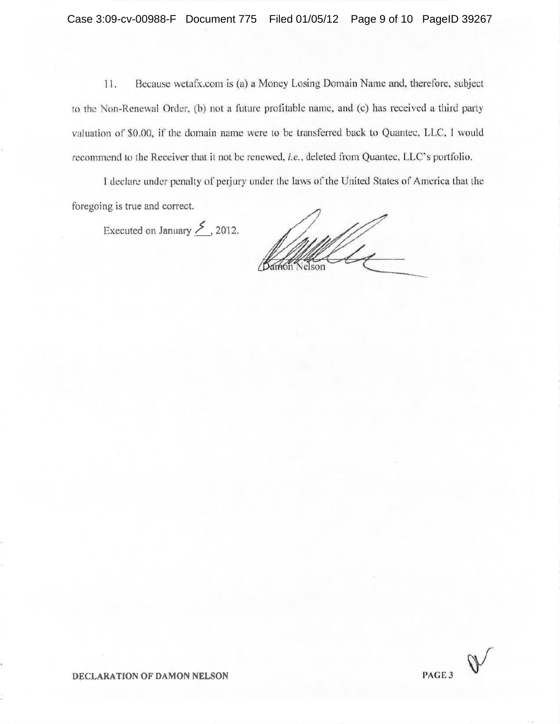Because wetafx.com is (a) a Money Losing Domain Name and, therefore, subject 11. to the Non-Renewal Order, (b) not a future profitable name, and (c) has received a third party valuation of \$0.00, if the domain name were to be transferred back to Quantec, LLC, I would recommend to the Receiver that it not be renewed, i.e., deleted from Quantec, LLC's portfolio.

I declare under penalty of perjury under the laws of the United States of America that the foregoing is true and correct.

Executed on January  $\geq$ , 2012.

 $\mathbb{Z}$ Velson